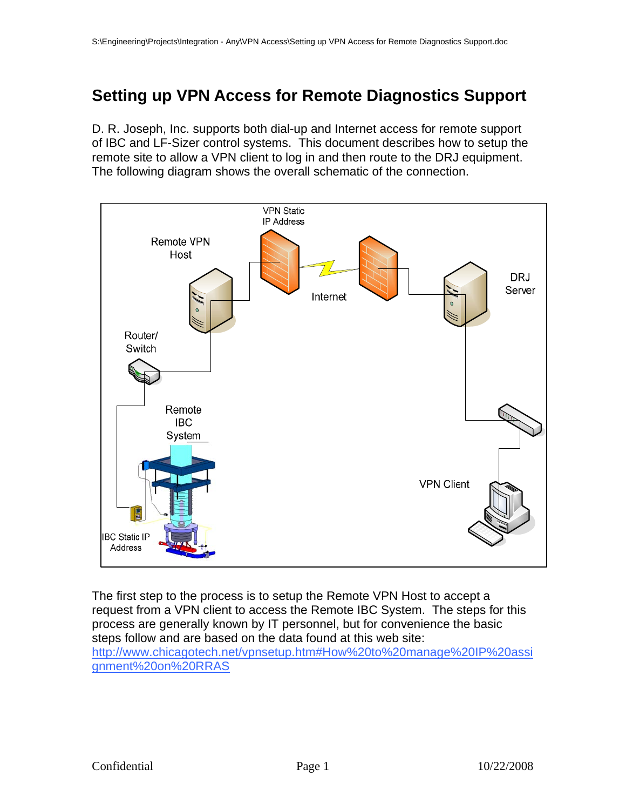# **Setting up VPN Access for Remote Diagnostics Support**

D. R. Joseph, Inc. supports both dial-up and Internet access for remote support of IBC and LF-Sizer control systems. This document describes how to setup the remote site to allow a VPN client to log in and then route to the DRJ equipment. The following diagram shows the overall schematic of the connection.



The first step to the process is to setup the Remote VPN Host to accept a request from a VPN client to access the Remote IBC System. The steps for this process are generally known by IT personnel, but for convenience the basic steps follow and are based on the data found at this web site: http://www.chicagotech.net/vpnsetup.htm#How%20to%20manage%20IP%20assi gnment%20on%20RRAS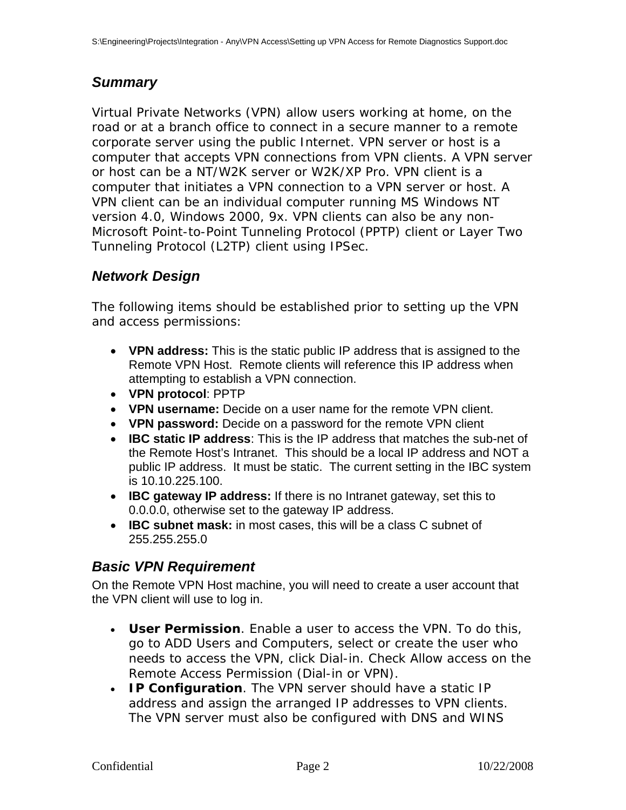### *Summary*

Virtual Private Networks (VPN) allow users working at home, on the road or at a branch office to connect in a secure manner to a remote corporate server using the public Internet. VPN server or host is a computer that accepts VPN connections from VPN clients. A VPN server or host can be a NT/W2K server or W2K/XP Pro. VPN client is a computer that initiates a VPN connection to a VPN server or host. A VPN client can be an individual computer running MS Windows NT version 4.0, Windows 2000, 9x. VPN clients can also be any non-Microsoft Point-to-Point Tunneling Protocol (PPTP) client or Layer Two Tunneling Protocol (L2TP) client using IPSec.

### *Network Design*

The following items should be established prior to setting up the VPN and access permissions:

- **VPN address:** This is the static public IP address that is assigned to the Remote VPN Host. Remote clients will reference this IP address when attempting to establish a VPN connection.
- **VPN protocol**: PPTP
- **VPN username:** Decide on a user name for the remote VPN client.
- **VPN password:** Decide on a password for the remote VPN client
- **IBC static IP address**: This is the IP address that matches the sub-net of the Remote Host's Intranet. This should be a local IP address and NOT a public IP address. It must be static. The current setting in the IBC system is 10.10.225.100.
- **IBC gateway IP address:** If there is no Intranet gateway, set this to 0.0.0.0, otherwise set to the gateway IP address.
- **IBC subnet mask:** in most cases, this will be a class C subnet of 255.255.255.0

#### *Basic VPN Requirement*

On the Remote VPN Host machine, you will need to create a user account that the VPN client will use to log in.

- **User Permission**. Enable a user to access the VPN. To do this, go to ADD Users and Computers, select or create the user who needs to access the VPN, click Dial-in. Check Allow access on the Remote Access Permission (Dial-in or VPN).
- **IP Configuration**. The VPN server should have a static IP address and assign the arranged IP addresses to VPN clients. The VPN server must also be configured with DNS and WINS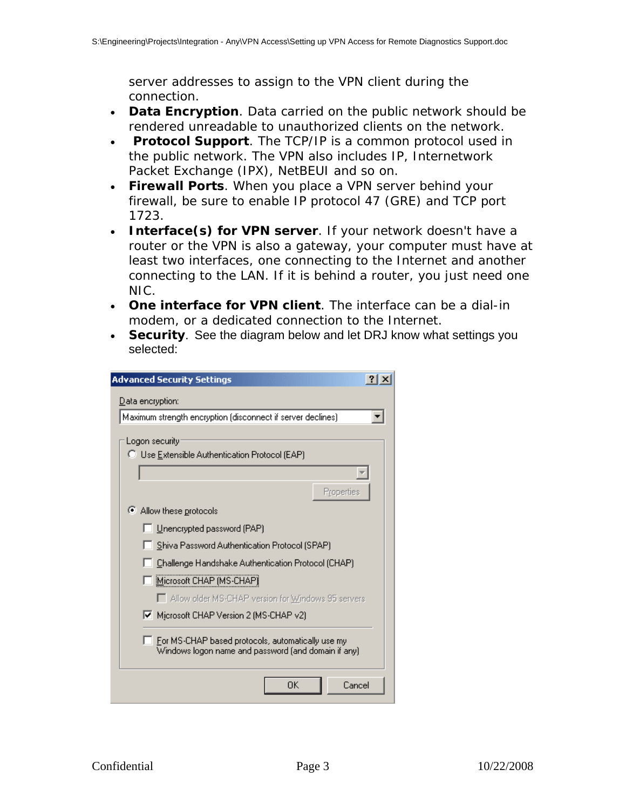server addresses to assign to the VPN client during the connection.

- **Data Encryption**. Data carried on the public network should be rendered unreadable to unauthorized clients on the network.
- **Protocol Support**. The TCP/IP is a common protocol used in the public network. The VPN also includes IP, Internetwork Packet Exchange (IPX), NetBEUI and so on.
- **Firewall Ports**. When you place a VPN server behind your firewall, be sure to enable IP protocol 47 (GRE) and TCP port 1723.
- **Interface(s) for VPN server**. If your network doesn't have a router or the VPN is also a gateway, your computer must have at least two interfaces, one connecting to the Internet and another connecting to the LAN. If it is behind a router, you just need one NIC.
- **One interface for VPN client**. The interface can be a dial-in modem, or a dedicated connection to the Internet.
- **Security**. See the diagram below and let DRJ know what settings you selected:

| <b>Advanced Security Settings</b>                                                                        |
|----------------------------------------------------------------------------------------------------------|
| Data encryption:                                                                                         |
| Maximum strength encryption (disconnect if server declines).                                             |
| Logon security                                                                                           |
| C Use Extensible Authentication Protocol (EAP)                                                           |
|                                                                                                          |
| Properties                                                                                               |
| Allow these protocols                                                                                    |
| Unencrypted password (PAP)                                                                               |
| Shiva Password Authentication Protocol (SPAP)                                                            |
| Challenge Handshake Authentication Protocol (CHAP)                                                       |
| Microsoft CHAP (MS-CHAP)                                                                                 |
| □ Allow older MS-CHAP version for Windows 95 servers                                                     |
| Microsoft CHAP Version 2 (MS-CHAP v2)                                                                    |
| For MS-CHAP based protocols, automatically use my<br>Windows logon name and password (and domain if any) |
| ΟK<br>Cancel                                                                                             |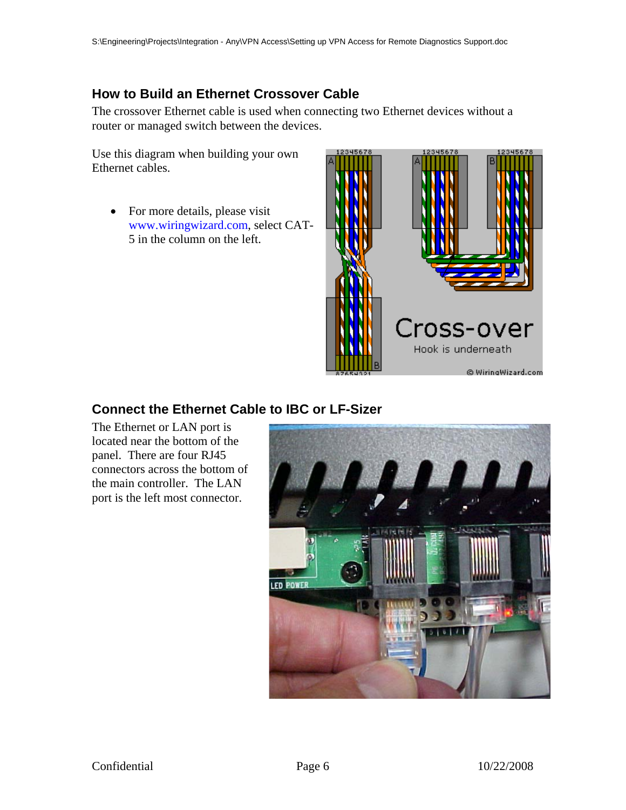### **How to Build an Ethernet Crossover Cable**

The crossover Ethernet cable is used when connecting two Ethernet devices without a router or managed switch between the devices.

Use this diagram when building your own Ethernet cables.

• For more details, please visit www.wiringwizard.com, select CAT-5 in the column on the left.



## **Connect the Ethernet Cable to IBC or LF-Sizer**

The Ethernet or LAN port is located near the bottom of the panel. There are four RJ45 connectors across the bottom of the main controller. The LAN port is the left most connector.